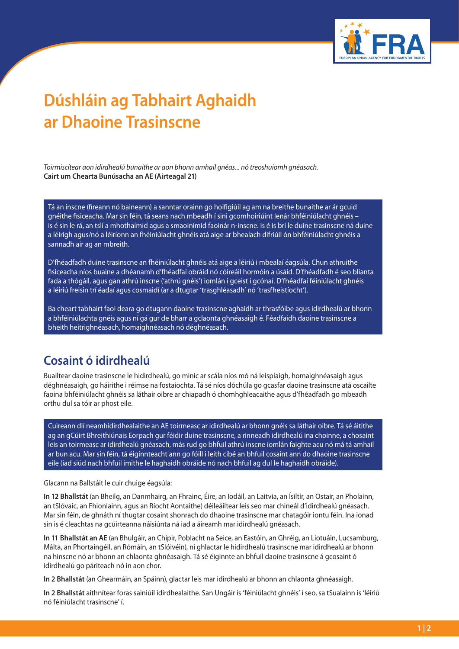

## **Dúshláin ag Tabhairt Aghaidh ar Dhaoine Trasinscne**

*Toirmiscítear aon idirdhealú bunaithe ar aon bhonn amhail gnéas... nó treoshuíomh gnéasach.* **Cairt um Chearta Bunúsacha an AE (Airteagal 21)**

Tá an inscne (fireann nó baineann) a sanntar orainn go hoifigiúil ag am na breithe bunaithe ar ár gcuid gnéithe fisiceacha. Mar sin féin, tá seans nach mbeadh í sini gcomhoiriúint lenár bhféiniúlacht ghnéis – is é sin le rá, an tslí a mhothaímid agus a smaoinímid faoinár n-inscne. Is é is brí le duine trasinscne ná duine a léirigh agus/nó a léiríonn an fhéiniúlacht ghnéis atá aige ar bhealach difriúil ón bhféiniúlacht ghnéis a sannadh air ag an mbreith.

D'fhéadfadh duine trasinscne an fhéiniúlacht ghnéis atá aige a léiriú i mbealaí éagsúla. Chun athruithe fisiceacha níos buaine a dhéanamh d'fhéadfaí obráid nó cóireáil hormóin a úsáid. D'fhéadfadh é seo blianta fada a thógáil, agus gan athrú inscne ('athrú gnéis') iomlán i gceist i gcónaí. D'fhéadfaí féiniúlacht ghnéis a léiriú freisin trí éadaí agus cosmaidí (ar a dtugtar 'trasghléasadh' nó 'trasfheistíocht').

Ba cheart tabhairt faoi deara go dtugann daoine trasinscne aghaidh ar thrasfóibe agus idirdhealú ar bhonn a bhféiniúlachta gnéis agus ní gá gur de bharr a gclaonta ghnéasaigh é. Féadfaidh daoine trasinscne a bheith heitrighnéasach, homaighnéasach nó déghnéasach.

## **Cosaint ó idirdhealú**

Buailtear daoine trasinscne le hidirdhealú, go minic ar scála níos mó ná leispiaigh, homaighnéasaigh agus déghnéasaigh, go háirithe i réimse na fostaíochta. Tá sé níos dóchúla go gcasfar daoine trasinscne atá oscailte faoina bhféiniúlacht ghnéis sa láthair oibre ar chiapadh ó chomhghleacaithe agus d'fhéadfadh go mbeadh orthu dul sa tóir ar phost eile.

Cuireann dlí neamhidirdhealaithe an AE toirmeasc ar idirdhealú ar bhonn gnéis sa láthair oibre. Tá sé áitithe ag an gCúirt Bhreithiúnais Eorpach gur féidir duine trasinscne, a rinneadh idirdhealú ina choinne, a chosaint leis an toirmeasc ar idirdhealú gnéasach, más rud go bhfuil athrú inscne iomlán faighte acu nó má tá amhail ar bun acu. Mar sin féin, tá éiginnteacht ann go fóill i leith cibé an bhfuil cosaint ann do dhaoine trasinscne eile (iad siúd nach bhfuil imithe le haghaidh obráide nó nach bhfuil ag dul le haghaidh obráide).

Glacann na Ballstáit le cuir chuige éagsúla:

**In 12 Bhallstát** (an Bheilg, an Danmhairg, an Fhrainc, Éire, an Iodáil, an Laitvia, an Ísiltír, an Ostair, an Pholainn, an tSlóvaic, an Fhionlainn, agus an Ríocht Aontaithe) déileáiltear leis seo mar chineál d'idirdhealú gnéasach. Mar sin féin, de ghnáth ní thugtar cosaint shonrach do dhaoine trasinscne mar chatagóir iontu féin. Ina ionad sin is é cleachtas na gcúirteanna náisiúnta ná iad a áireamh mar idirdhealú gnéasach.

**In 11 Bhallstát an AE** (an Bhulgáir, an Chipir, Poblacht na Seice, an Eastóin, an Ghréig, an Liotuáin, Lucsamburg, Málta, an Phortaingéil, an Rómáin, an tSlóivéin), ní ghlactar le hidirdhealú trasinscne mar idirdhealú ar bhonn na hinscne nó ar bhonn an chlaonta ghnéasaigh. Tá sé éiginnte an bhfuil daoine trasinscne á gcosaint ó idirdhealú go páriteach nó in aon chor.

**In 2 Bhallstát** (an Ghearmáin, an Spáinn), glactar leis mar idirdhealú ar bhonn an chlaonta ghnéasaigh.

**In 2 Bhallstát** aithnítear foras sainiúil idirdhealaithe. San Ungáir is 'féiniúlacht ghnéis' í seo, sa tSualainn is 'léiriú nó féiniúlacht trasinscne' í.